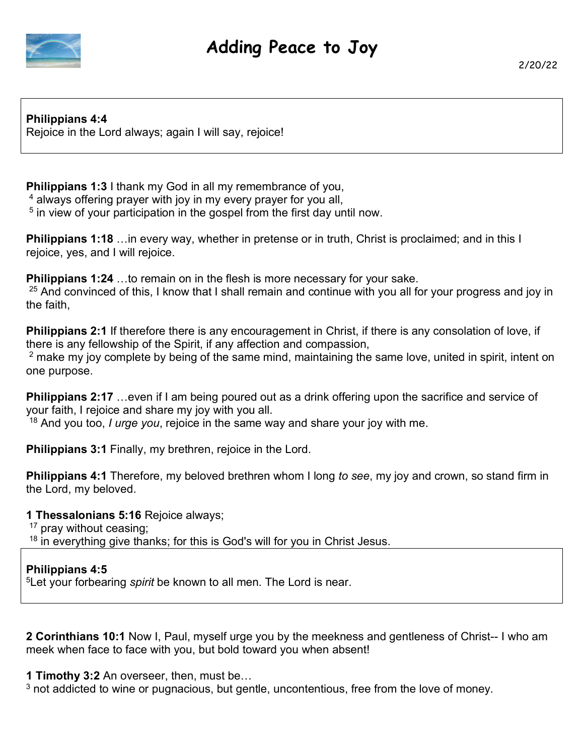

**Philippians 4:4**  Rejoice in the Lord always; again I will say, rejoice!

**Philippians 1:3** I thank my God in all my remembrance of you,

4 always offering prayer with joy in my every prayer for you all,

<sup>5</sup> in view of your participation in the gospel from the first day until now.

**Philippians 1:18** …in every way, whether in pretense or in truth, Christ is proclaimed; and in this I rejoice, yes, and I will rejoice.

**Philippians 1:24** …to remain on in the flesh is more necessary for your sake.

 $25$  And convinced of this, I know that I shall remain and continue with you all for your progress and joy in the faith,

**Philippians 2:1** If therefore there is any encouragement in Christ, if there is any consolation of love, if there is any fellowship of the Spirit, if any affection and compassion,

 $2$  make my joy complete by being of the same mind, maintaining the same love, united in spirit, intent on one purpose.

**Philippians 2:17** …even if I am being poured out as a drink offering upon the sacrifice and service of your faith, I rejoice and share my joy with you all.

<sup>18</sup> And you too, *I urge you*, rejoice in the same way and share your joy with me.

**Philippians 3:1** Finally, my brethren, rejoice in the Lord.

**Philippians 4:1** Therefore, my beloved brethren whom I long *to see*, my joy and crown, so stand firm in the Lord, my beloved.

**1 Thessalonians 5:16** Rejoice always;

<sup>17</sup> pray without ceasing;

<sup>18</sup> in everything give thanks; for this is God's will for you in Christ Jesus.

## **Philippians 4:5**

<sup>5</sup>Let your forbearing *spirit* be known to all men. The Lord is near.

**2 Corinthians 10:1** Now I, Paul, myself urge you by the meekness and gentleness of Christ-- I who am meek when face to face with you, but bold toward you when absent!

**1 Timothy 3:2** An overseer, then, must be…

 $3$  not addicted to wine or pugnacious, but gentle, uncontentious, free from the love of money.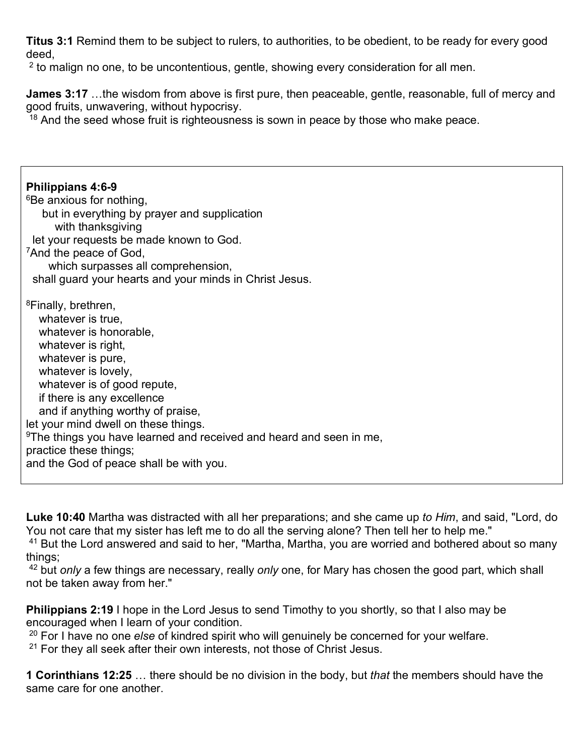**Titus 3:1** Remind them to be subject to rulers, to authorities, to be obedient, to be ready for every good deed,

 $2$  to malign no one, to be uncontentious, gentle, showing every consideration for all men.

**James 3:17** …the wisdom from above is first pure, then peaceable, gentle, reasonable, full of mercy and good fruits, unwavering, without hypocrisy.

 $18$  And the seed whose fruit is righteousness is sown in peace by those who make peace.

**Philippians 4:6-9** <sup>6</sup>Be anxious for nothing. but in everything by prayer and supplication with thanksgiving let your requests be made known to God. <sup>7</sup>And the peace of God, which surpasses all comprehension, shall guard your hearts and your minds in Christ Jesus. <sup>8</sup>Finally, brethren, whatever is true, whatever is honorable, whatever is right, whatever is pure, whatever is lovely, whatever is of good repute, if there is any excellence and if anything worthy of praise, let your mind dwell on these things. <sup>9</sup>The things you have learned and received and heard and seen in me, practice these things; and the God of peace shall be with you.

**Luke 10:40** Martha was distracted with all her preparations; and she came up *to Him*, and said, "Lord, do You not care that my sister has left me to do all the serving alone? Then tell her to help me."

<sup>41</sup> But the Lord answered and said to her, "Martha, Martha, you are worried and bothered about so many things;

<sup>42</sup> but *only* a few things are necessary, really *only* one, for Mary has chosen the good part, which shall not be taken away from her."

**Philippians 2:19** I hope in the Lord Jesus to send Timothy to you shortly, so that I also may be encouraged when I learn of your condition.

<sup>20</sup> For I have no one *else* of kindred spirit who will genuinely be concerned for your welfare.

 $21$  For they all seek after their own interests, not those of Christ Jesus.

**1 Corinthians 12:25** … there should be no division in the body, but *that* the members should have the same care for one another.